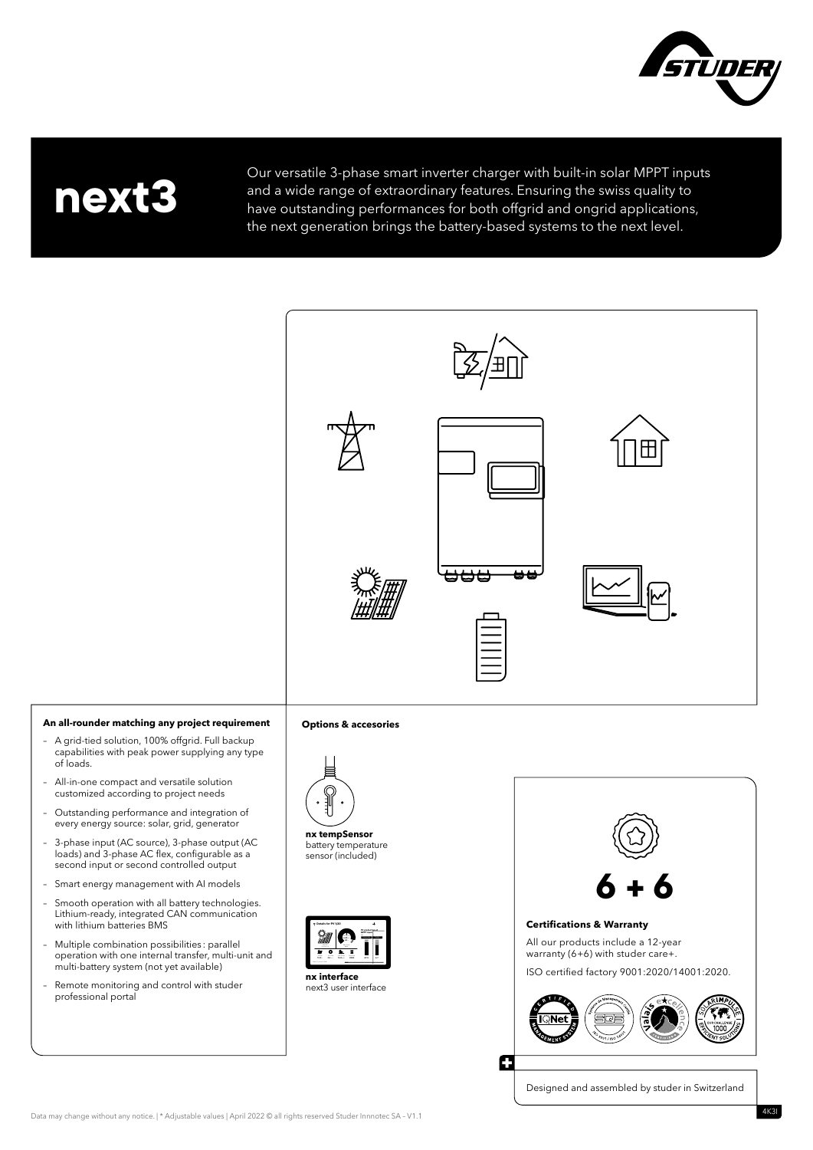

## **next3**

Our versatile 3-phase smart inverter charger with built-in solar MPPT inputs and a wide range of extraordinary features. Ensuring the swiss quality to have outstanding performances for both offgrid and ongrid applications, the next generation brings the battery-based systems to the next level.



## **An all-rounder matching any project requirement**

- A grid-tied solution, 100% offgrid. Full backup capabilities with peak power supplying any type of loads.
- All-in-one compact and versatile solution customized according to project needs
- Outstanding performance and integration of every energy source: solar, grid, generator
- 3-phase input (AC source), 3-phase output (AC loads) and 3-phase AC flex, configurable as a second input or second controlled output
- Smart energy management with AI models
- Smooth operation with all battery technologies. Lithium-ready, integrated CAN communication with lithium batteries BMS
- Multiple combination possibilities : parallel operation with one internal transfer, multi-unit and multi-battery system (not yet available)
- Remote monitoring and control with studer professional portal

## **Options & accesories**



**nx tempSensor** battery temperature sensor (included)







Designed and assembled by studer in Switzerland

Data may change without any notice. | \* Adjustable values | April 2022 © all rights reserved Studer Innnotec SA – V1.1